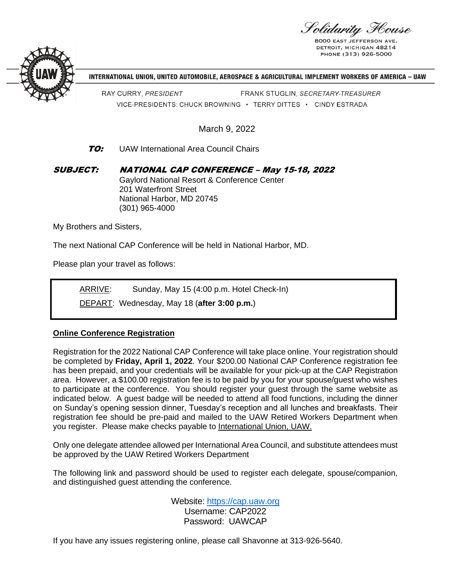Solidarity Flouse

**8000 EAST JEFFERSON** DETROIT, MICHIGAN 48214 PHONE (313) 926-5000



INTERNATIONAL UNION, UNITED AUTOMOBILE, AEROSPACE & AGRICULTURAL IMPLEMENT WORKERS OF AMERICA - UAW

RAY CURRY, PRESIDENT FRANK STUGLIN, SECRETARY-TREASURER VICE-PRESIDENTS: CHUCK BROWNING · TERRY DITTES · CINDY ESTRADA

March 9, 2022

## **TO:** UAW International Area Council Chairs

SUBJECT: NATIONAL CAP CONFERENCE – May 15-18, 2022 Gaylord National Resort & Conference Center 201 Waterfront Street National Harbor, MD 20745 (301) 965-4000

My Brothers and Sisters,

The next National CAP Conference will be held in National Harbor, MD.

Please plan your travel as follows:

ARRIVE: Sunday, May 15 (4:00 p.m. Hotel Check-In)

DEPART:Wednesday, May 18 (**after 3:00 p.m.**)

## **Online Conference Registration**

Registration for the 2022 National CAP Conference will take place online. Your registration should be completed by **Friday, April 1, 2022**. Your \$200.00 National CAP Conference registration fee has been prepaid, and your credentials will be available for your pick-up at the CAP Registration area. However, a \$100.00 registration fee is to be paid by you for your spouse/guest who wishes to participate at the conference. You should register your guest through the same website as indicated below. A guest badge will be needed to attend all food functions, including the dinner on Sunday's opening session dinner, Tuesday's reception and all lunches and breakfasts. Their registration fee should be pre-paid and mailed to the UAW Retired Workers Department when you register. Please make checks payable to International Union, UAW.

Only one delegate attendee allowed per International Area Council, and substitute attendees must be approved by the UAW Retired Workers Department

The following link and password should be used to register each delegate, spouse/companion, and distinguished guest attending the conference.

> Website: [https://cap.uaw.org](https://cap.uaw.org/) Username: CAP2022 Password: UAWCAP

If you have any issues registering online, please call Shavonne at 313-926-5640.